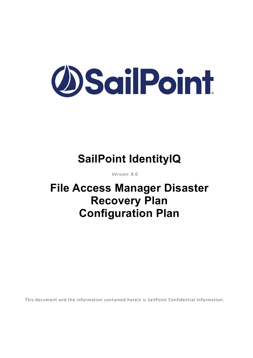

# **SailPoint IdentityIQ**

*Version*: 8.0

## **File Access Manager Disaster Recovery Plan Configuration Plan**

This document and the information contained herein is SailPoint Confidential Information.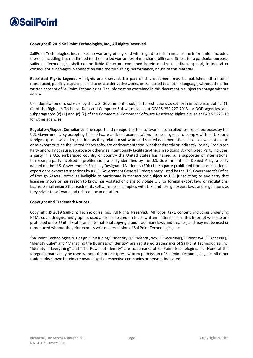

#### **Copyright © 2019 SailPoint Technologies, Inc., All Rights Reserved.**

SailPoint Technologies, Inc. makes no warranty of any kind with regard to this manual or the information included therein, including, but not limited to, the implied warranties of merchantability and fitness for a particular purpose. SailPoint Technologies shall not be liable for errors contained herein or direct, indirect, special, incidental or consequential damages in connection with the furnishing, performance, or use of this material.

**Restricted Rights Legend.** All rights are reserved. No part of this document may be published, distributed, reproduced, publicly displayed, used to create derivative works, or translated to another language, without the prior written consent of SailPoint Technologies. The information contained in this document is subject to change without notice.

Use, duplication or disclosure by the U.S. Government is subject to restrictions as set forth in subparagraph (c) (1) (ii) of the Rights in Technical Data and Computer Software clause at DFARS 252.227-7013 for DOD agencies, and subparagraphs (c) (1) and (c) (2) of the Commercial Computer Software Restricted Rights clause at FAR 52.227-19 for other agencies.

**Regulatory/Export Compliance**. The export and re-export of this software is controlled for export purposes by the U.S. Government. By accepting this software and/or documentation, licensee agrees to comply with all U.S. and foreign export laws and regulations as they relate to software and related documentation. Licensee will not export or re-export outside the United States software or documentation, whether directly or indirectly, to any Prohibited Party and will not cause, approve or otherwise intentionally facilitate others in so doing. A Prohibited Party includes: a party in a U.S. embargoed country or country the United States has named as a supporter of international terrorism; a party involved in proliferation; a party identified by the U.S. Government as a Denied Party; a party named on the U.S. Government's Specially Designated Nationals (SDN) List; a party prohibited from participation in export or re-export transactions by a U.S. Government General Order; a party listed by the U.S. Government's Office of Foreign Assets Control as ineligible to participate in transactions subject to U.S. jurisdiction; or any party that licensee knows or has reason to know has violated or plans to violate U.S. or foreign export laws or regulations. Licensee shall ensure that each of its software users complies with U.S. and foreign export laws and regulations as they relate to software and related documentation.

#### **Copyright and Trademark Notices.**

Copyright © 2019 SailPoint Technologies, Inc. All Rights Reserved. All logos, text, content, including underlying HTML code, designs, and graphics used and/or depicted on these written materials or in this Internet web site are protected under United States and international copyright and trademark laws and treaties, and may not be used or reproduced without the prior express written permission of SailPoint Technologies, Inc.

"SailPoint Technologies & Design," "SailPoint," "IdentityIQ," "IdentityNow," "SecurityIQ," "IdentityAI," "AccessIQ," "Identity Cube" and "Managing the Business of Identity" are registered trademarks of SailPoint Technologies, Inc. "Identity is Everything" and "The Power of Identity" are trademarks of SailPoint Technologies, Inc. None of the foregoing marks may be used without the prior express written permission of SailPoint Technologies, Inc. All other trademarks shown herein are owned by the respective companies or persons indicated.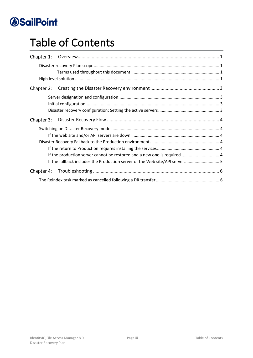# Table of Contents

| Chapter 1: |  |  |  |
|------------|--|--|--|
|            |  |  |  |
|            |  |  |  |
| Chapter 2: |  |  |  |
|            |  |  |  |
|            |  |  |  |
|            |  |  |  |
| Chapter 3: |  |  |  |
|            |  |  |  |
|            |  |  |  |
|            |  |  |  |
|            |  |  |  |
|            |  |  |  |
|            |  |  |  |
| Chapter 4: |  |  |  |
|            |  |  |  |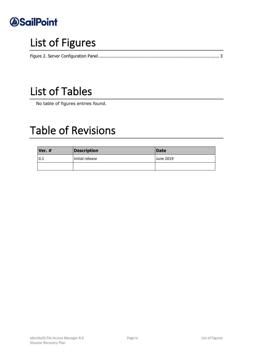

# List of Figures

# List of Tables

No table of figures entries found.

## Table of Revisions

| Ver. $#$ | <b>Description</b> | Date      |
|----------|--------------------|-----------|
| 0.1      | Initial release    | June 2019 |
|          |                    |           |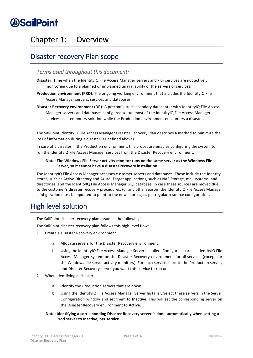### <span id="page-4-0"></span>Chapter 1: Overview

### <span id="page-4-1"></span>Disaster recovery Plan scope

#### <span id="page-4-2"></span>*Terms used throughout this document:*

- **Disaster**: Time when the IdentityIQ File Access Manager servers and / or services are not actively monitoring due to a planned or unplanned unavailability of the servers or services.
- **Production environment (PRD)**: The ongoing working environment that includes the IdentityIQ File Access Manager servers, services and databases.
- **Disaster Recovery environment (DR)**: A preconfigured secondary datacenter with IdentityIQ File Access Manager servers and databases configured to run most of the IdentityIQ File Access Manager services as a temporary solution while the Production environment encounters a disaster.

The SailPoint IdentityIQ File Access Manager Disaster Recovery Plan describes a method to minimize the loss of information during a disaster (as defined above).

In case of a disaster in the Production environment, this procedure enables configuring the system to run the IdentityIQ File Access Manager services from the Disaster Recovery environment.

#### **Note: The Windows File Server activity monitor runs on the same server as the Windows File Server, so it cannot have a disaster recovery installation.**

The IdentityIQ File Access Manager accesses customer servers and databases. These include the identity stores, such as Active Directory and Azure, Target applications, such as NAS Storage, mail systems, and directories, and the IdentityIQ File Access Manager SQL database. In case these sources are moved due to the customer's disaster recovery procedures, (or any other reason) the IdentityIQ File Access Manager configuration must be updated to point to the new sources, as per regular resource configuration.

### <span id="page-4-3"></span>High level solution

The SailPoint disaster recovery plan assumes the following:

The SailPoint disaster recovery plan follows this high-level flow:

- 1. Create a Disaster Recovery environment
	- a. Allocate servers for the Disaster Recovery environment.
	- b. Using the IdentityIQ File Access Manager Server Installer, Configure a parallel IdentityIQ File Access Manager system on the Disaster Recovery environment for all services (except for the Windows file server activity monitors). For each service allocate the Production server, and Disaster Recovery server you want this service to run on.
- 2. When identifying a disaster:
	- a. Identify the Production servers that are down
	- b. Using the IdentityIQ File Access Manager Server Installer, Select these servers in the Server Configuration window and set them to **Inactive**. This will set the corresponding server on the Disaster Recovery environment to **Active**.
	- **Note: Identifying a corresponding Disaster Recovery server is done automatically when setting a Prod server to Inactive, per service.**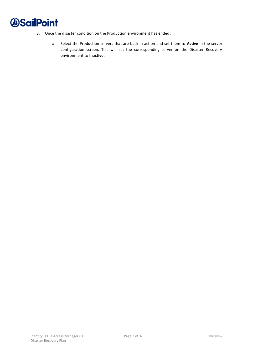- 3. Once the disaster condition on the Production environment has ended:
	- a. Select the Production servers that are back in action and set them to **Active** in the server configuration screen. This will set the corresponding server on the Disaster Recovery environment to **Inactive**.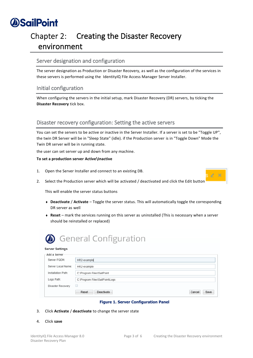## <span id="page-6-0"></span>Chapter 2: Creating the Disaster Recovery environment

### <span id="page-6-1"></span>Server designation and configuration

The server designation as Production or Disaster Recovery, as well as the configuration of the services in these servers is performed using the IdentityIQ File Access Manager Server Installer.

### <span id="page-6-2"></span>Initial configuration

When configuring the servers in the initial setup, mark Disaster Recovery (DR) servers, by ticking the **Disaster Recovery** tick box.

### <span id="page-6-3"></span>Disaster recovery configuration: Setting the active servers

You can set the servers to be active or inactive in the Server Installer. If a server is set to be "Toggle UP", the twin DR Server will be in "Sleep State" (idle). if the Production server is in "Toggle Down" Mode the Twin DR server will be in running state.

the user can set server up and down from any machine.

#### **To set a production server Active\Inactive**

- 1. Open the Server Installer and connect to an existing DB.
- 2. Select the Production server which will be activated / deactivated and click the Edit button

This will enable the server status buttons

- <sup>⧫</sup> **Deactivate** / **Activate** Toggle the server status. This will automatically toggle the corresponding DR server as well
- <sup>⧫</sup> **Reset** mark the services running on this server as uninstalled (This is necessary when a server should be reinstalled or replaced)



#### **Server Settings**

| Add a Server       |                                       |  |  |
|--------------------|---------------------------------------|--|--|
| Server FQDN:       | HR2-example                           |  |  |
| Server Local Name: | HR2-example                           |  |  |
| Installation Path: | C:\Program Files\SailPoint            |  |  |
| Logs Path:         | C:\Program Files\SailPoint\Logs       |  |  |
| Disaster Recovery  |                                       |  |  |
|                    | Reset<br>Deactivate<br>Cancel<br>Save |  |  |

#### **Figure 1. Server Configuration Panel**

- <span id="page-6-4"></span>3. Click **Activate** / **deactivate** to change the server state
- 4. Click **save**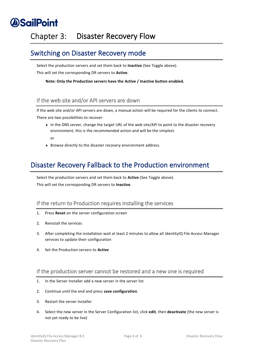## <span id="page-7-0"></span>Chapter 3: Disaster Recovery Flow

### <span id="page-7-1"></span>Switching on Disaster Recovery mode

Select the production servers and set them back to **Inactive** (See Toggle above). This will set the corresponding DR servers to **Active**.

**Note: Only the Production servers have the Active / Inactive button enabled.**

### <span id="page-7-2"></span>If the web site and/or API servers are down

If the web site and/or API servers are down, a manual action will be required for the clients to connect. There are two possibilities to recover:

- ◆ In the DNS server, change the target URL of the web site/API to point to the disaster recovery environment, this is the recommended action and will be the simplest. or
- <sup>⧫</sup> Browse directly to the disaster recovery environment address.

### <span id="page-7-3"></span>Disaster Recovery Fallback to the Production environment

Select the production servers and set them back to **Active** (See Toggle above). This will set the corresponding DR servers to **Inactive**.

### <span id="page-7-4"></span>If the return to Production requires installing the services

- 1. Press **Reset** on the server configuration screen
- 2. Reinstall the services
- 3. After completing the installation wait at least 2 minutes to allow all IdentityIQ File Access Manager services to update their configuration
- 4. Set the Production servers to **Active**

#### <span id="page-7-5"></span>If the production server cannot be restored and a new one is required

- 1. In the Server Installer add a new server in the server list
- 2. Continue until the end and press **save configuration**.
- 3. Restart the server installer
- 4. Select the new server in the Server Configuration list, click **edit**, then **deactivate** (the new server is not yet ready to be live)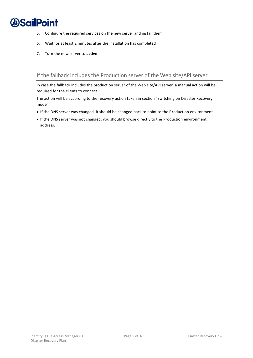- 5. Configure the required services on the new server and install them
- 6. Wait for at least 2 minutes after the installation has completed
- 7. Turn the new server to **active**

### <span id="page-8-0"></span>If the fallback includes the Production server of the Web site/API server

In case the fallback includes the production server of the Web site/API server, a manual action will be required for the clients to connect.

The action will be according to the recovery action taken in section "Switching on Disaster Recovery mode".

- If the DNS server was changed, it should be changed back to point to the Production environment.
- If the DNS server was not changed, you should browse directly to the Production environment address.